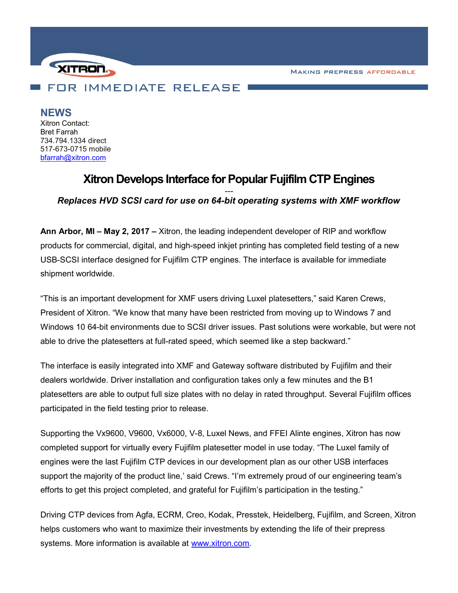**MAKING PREPRESS AFFORDABLE** 



NEWS Xitron Contact: Bret Farrah 734.794.1334 direct 517-673-0715 mobile bfarrah@xitron.com

## Xitron Develops Interface for Popular Fujifilm CTP Engines ---

Replaces HVD SCSI card for use on 64-bit operating systems with XMF workflow

Ann Arbor, MI – May 2, 2017 – Xitron, the leading independent developer of RIP and workflow products for commercial, digital, and high-speed inkjet printing has completed field testing of a new USB-SCSI interface designed for Fujifilm CTP engines. The interface is available for immediate shipment worldwide.

"This is an important development for XMF users driving Luxel platesetters," said Karen Crews, President of Xitron. "We know that many have been restricted from moving up to Windows 7 and Windows 10 64-bit environments due to SCSI driver issues. Past solutions were workable, but were not able to drive the platesetters at full-rated speed, which seemed like a step backward."

The interface is easily integrated into XMF and Gateway software distributed by Fujifilm and their dealers worldwide. Driver installation and configuration takes only a few minutes and the B1 platesetters are able to output full size plates with no delay in rated throughput. Several Fujifilm offices participated in the field testing prior to release.

Supporting the Vx9600, V9600, Vx6000, V-8, Luxel News, and FFEI Alinte engines, Xitron has now completed support for virtually every Fujifilm platesetter model in use today. "The Luxel family of engines were the last Fujifilm CTP devices in our development plan as our other USB interfaces support the majority of the product line,' said Crews. "I'm extremely proud of our engineering team's efforts to get this project completed, and grateful for Fujifilm's participation in the testing."

Driving CTP devices from Agfa, ECRM, Creo, Kodak, Presstek, Heidelberg, Fujifilm, and Screen, Xitron helps customers who want to maximize their investments by extending the life of their prepress systems. More information is available at www.xitron.com.